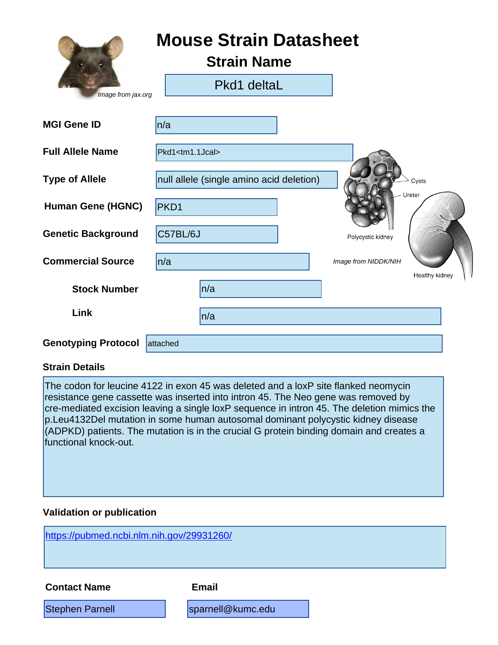|                            | <b>Mouse Strain Datasheet</b><br><b>Strain Name</b> |                      |                |
|----------------------------|-----------------------------------------------------|----------------------|----------------|
| Image from jax.org         | Pkd1 deltaL                                         |                      |                |
| <b>MGI Gene ID</b>         | n/a                                                 |                      |                |
| <b>Full Allele Name</b>    | Pkd1 <tm1.1jcal></tm1.1jcal>                        |                      |                |
| <b>Type of Allele</b>      | null allele (single amino acid deletion)            |                      | Cysts          |
| <b>Human Gene (HGNC)</b>   | PKD1                                                |                      | Ureter         |
| <b>Genetic Background</b>  | C57BL/6J                                            | Polycystic kidney    |                |
| <b>Commercial Source</b>   | n/a                                                 | Image from NIDDK/NIH |                |
| <b>Stock Number</b>        | n/a                                                 |                      | Healthy kidney |
| Link                       | n/a                                                 |                      |                |
| <b>Genotyping Protocol</b> | attached                                            |                      |                |

#### **Strain Details**

The codon for leucine 4122 in exon 45 was deleted and a loxP site flanked neomycin resistance gene cassette was inserted into intron 45. The Neo gene was removed by cre-mediated excision leaving a single loxP sequence in intron 45. The deletion mimics the p.Leu4132Del mutation in some human autosomal dominant polycystic kidney disease (ADPKD) patients. The mutation is in the crucial G protein binding domain and creates a functional knock-out.

#### **Validation or publication**

<https://pubmed.ncbi.nlm.nih.gov/29931260/>

**Contact Name Email**

Stephen Parnell [sparnell@kumc.edu](mailto:sparnell@kumc.edu)